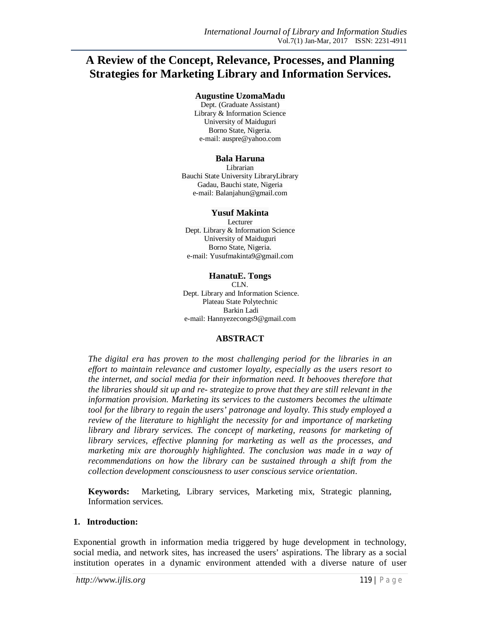# **A Review of the Concept, Relevance, Processes, and Planning Strategies for Marketing Library and Information Services.**

#### **Augustine UzomaMadu**

Dept. (Graduate Assistant) Library & Information Science University of Maiduguri Borno State, Nigeria. e-mail: auspre@yahoo.com

#### **Bala Haruna**

Librarian Bauchi State University LibraryLibrary Gadau, Bauchi state, Nigeria e-mail: Balanjahun@gmail.com

#### **Yusuf Makinta**

Lecturer Dept. Library & Information Science University of Maiduguri Borno State, Nigeria. e-mail: Yusufmakinta9@gmail.com

#### **HanatuE. Tongs**

CLN. Dept. Library and Information Science. Plateau State Polytechnic Barkin Ladi e-mail: Hannyezecongs9@gmail.com

### **ABSTRACT**

*The digital era has proven to the most challenging period for the libraries in an effort to maintain relevance and customer loyalty, especially as the users resort to the internet, and social media for their information need. It behooves therefore that the libraries should sit up and re- strategize to prove that they are still relevant in the information provision. Marketing its services to the customers becomes the ultimate tool for the library to regain the users' patronage and loyalty. This study employed a review of the literature to highlight the necessity for and importance of marketing library and library services. The concept of marketing, reasons for marketing of library services, effective planning for marketing as well as the processes, and marketing mix are thoroughly highlighted. The conclusion was made in a way of recommendations on how the library can be sustained through a shift from the collection development consciousness to user conscious service orientation.*

**Keywords:** Marketing, Library services, Marketing mix, Strategic planning, Information services.

### **1. Introduction:**

Exponential growth in information media triggered by huge development in technology, social media, and network sites, has increased the users' aspirations. The library as a social institution operates in a dynamic environment attended with a diverse nature of user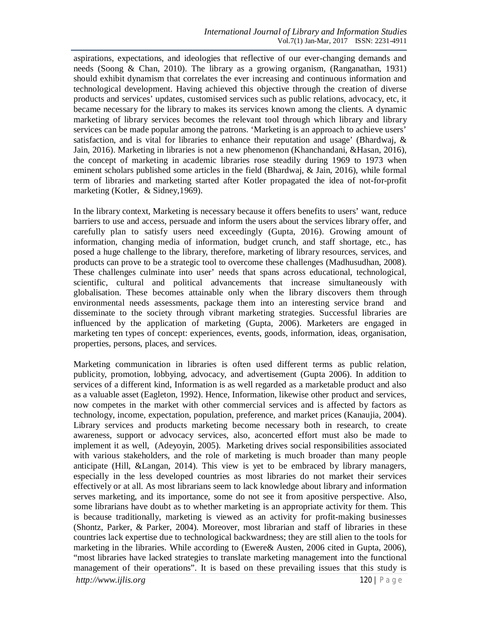aspirations, expectations, and ideologies that reflective of our ever-changing demands and needs (Soong & Chan, 2010). The library as a growing organism, (Ranganathan, 1931) should exhibit dynamism that correlates the ever increasing and continuous information and technological development. Having achieved this objective through the creation of diverse products and services' updates, customised services such as public relations, advocacy, etc, it became necessary for the library to makes its services known among the clients. A dynamic marketing of library services becomes the relevant tool through which library and library services can be made popular among the patrons. 'Marketing is an approach to achieve users' satisfaction, and is vital for libraries to enhance their reputation and usage' (Bhardwaj, & Jain, 2016). Marketing in libraries is not a new phenomenon (Khanchandani, &Hasan, 2016), the concept of marketing in academic libraries rose steadily during 1969 to 1973 when eminent scholars published some articles in the field (Bhardwaj, & Jain, 2016), while formal term of libraries and marketing started after Kotler propagated the idea of not-for-profit marketing (Kotler, & Sidney,1969).

In the library context, Marketing is necessary because it offers benefits to users' want, reduce barriers to use and access, persuade and inform the users about the services library offer, and carefully plan to satisfy users need exceedingly (Gupta, 2016). Growing amount of information, changing media of information, budget crunch, and staff shortage, etc., has posed a huge challenge to the library, therefore, marketing of library resources, services, and products can prove to be a strategic tool to overcome these challenges (Madhusudhan, 2008). These challenges culminate into user' needs that spans across educational, technological, scientific, cultural and political advancements that increase simultaneously with globalisation. These becomes attainable only when the library discovers them through environmental needs assessments, package them into an interesting service brand and disseminate to the society through vibrant marketing strategies. Successful libraries are influenced by the application of marketing (Gupta, 2006). Marketers are engaged in marketing ten types of concept: experiences, events, goods, information, ideas, organisation, properties, persons, places, and services.

Marketing communication in libraries is often used different terms as public relation, publicity, promotion, lobbying, advocacy, and advertisement (Gupta 2006). In addition to services of a different kind, Information is as well regarded as a marketable product and also as a valuable asset (Eagleton, 1992). Hence, Information, likewise other product and services, now competes in the market with other commercial services and is affected by factors as technology, income, expectation, population, preference, and market prices (Kanaujia, 2004). Library services and products marketing become necessary both in research, to create awareness, support or advocacy services, also, aconcerted effort must also be made to implement it as well, (Adeyoyin, 2005). Marketing drives social responsibilities associated with various stakeholders, and the role of marketing is much broader than many people anticipate (Hill, &Langan, 2014). This view is yet to be embraced by library managers, especially in the less developed countries as most libraries do not market their services effectively or at all. As most librarians seem to lack knowledge about library and information serves marketing, and its importance, some do not see it from apositive perspective. Also, some librarians have doubt as to whether marketing is an appropriate activity for them. This is because traditionally, marketing is viewed as an activity for profit-making businesses (Shontz, Parker, & Parker, 2004). Moreover, most librarian and staff of libraries in these countries lack expertise due to technological backwardness; they are still alien to the tools for marketing in the libraries. While according to (Ewere& Austen, 2006 cited in Gupta, 2006), "most libraries have lacked strategies to translate marketing management into the functional management of their operations". It is based on these prevailing issues that this study is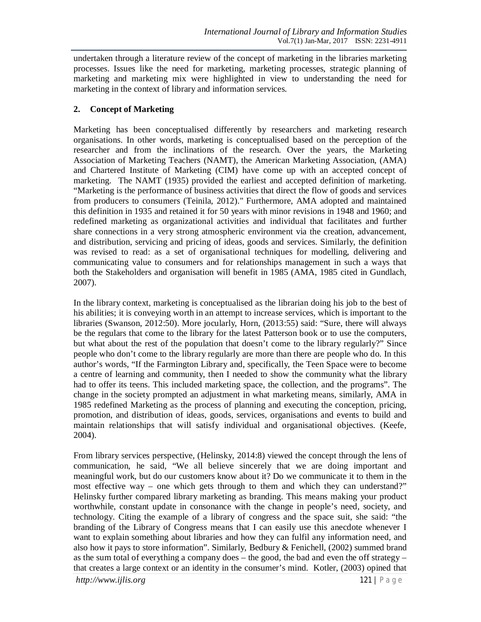undertaken through a literature review of the concept of marketing in the libraries marketing processes. Issues like the need for marketing, marketing processes, strategic planning of marketing and marketing mix were highlighted in view to understanding the need for marketing in the context of library and information services.

# **2. Concept of Marketing**

Marketing has been conceptualised differently by researchers and marketing research organisations. In other words, marketing is conceptualised based on the perception of the researcher and from the inclinations of the research. Over the years, the Marketing Association of Marketing Teachers (NAMT), the American Marketing Association, (AMA) and Chartered Institute of Marketing (CIM) have come up with an accepted concept of marketing. The NAMT (1935) provided the earliest and accepted definition of marketing. "Marketing is the performance of business activities that direct the flow of goods and services from producers to consumers (Teinila, 2012)." Furthermore, AMA adopted and maintained this definition in 1935 and retained it for 50 years with minor revisions in 1948 and 1960; and redefined marketing as organizational activities and individual that facilitates and further share connections in a very strong atmospheric environment via the creation, advancement, and distribution, servicing and pricing of ideas, goods and services. Similarly, the definition was revised to read: as a set of organisational techniques for modelling, delivering and communicating value to consumers and for relationships management in such a ways that both the Stakeholders and organisation will benefit in 1985 (AMA, 1985 cited in Gundlach, 2007).

In the library context, marketing is conceptualised as the librarian doing his job to the best of his abilities; it is conveying worth in an attempt to increase services, which is important to the libraries (Swanson, 2012:50). More jocularly, Horn, (2013:55) said: "Sure, there will always be the regulars that come to the library for the latest Patterson book or to use the computers, but what about the rest of the population that doesn't come to the library regularly?" Since people who don't come to the library regularly are more than there are people who do. In this author's words, "If the Farmington Library and, specifically, the Teen Space were to become a centre of learning and community, then I needed to show the community what the library had to offer its teens. This included marketing space, the collection, and the programs". The change in the society prompted an adjustment in what marketing means, similarly, AMA in 1985 redefined Marketing as the process of planning and executing the conception, pricing, promotion, and distribution of ideas, goods, services, organisations and events to build and maintain relationships that will satisfy individual and organisational objectives. (Keefe, 2004).

From library services perspective, (Helinsky, 2014:8) viewed the concept through the lens of communication, he said, "We all believe sincerely that we are doing important and meaningful work, but do our customers know about it? Do we communicate it to them in the most effective way – one which gets through to them and which they can understand?" Helinsky further compared library marketing as branding. This means making your product worthwhile, constant update in consonance with the change in people's need, society, and technology. Citing the example of a library of congress and the space suit, she said: "the branding of the Library of Congress means that I can easily use this anecdote whenever I want to explain something about libraries and how they can fulfil any information need, and also how it pays to store information". Similarly, Bedbury & Fenichell, (2002) summed brand as the sum total of everything a company does  $-$  the good, the bad and even the off strategy  $$ that creates a large context or an identity in the consumer's mind. Kotler, (2003) opined that

*http://www.ijlis.org* 121 | P a g e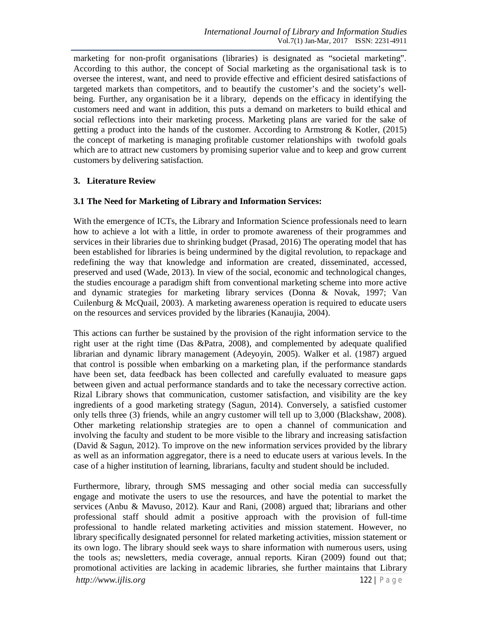marketing for non-profit organisations (libraries) is designated as "societal marketing". According to this author, the concept of Social marketing as the organisational task is to oversee the interest, want, and need to provide effective and efficient desired satisfactions of targeted markets than competitors, and to beautify the customer's and the society's wellbeing. Further, any organisation be it a library, depends on the efficacy in identifying the customers need and want in addition, this puts a demand on marketers to build ethical and social reflections into their marketing process. Marketing plans are varied for the sake of getting a product into the hands of the customer. According to Armstrong & Kotler, (2015) the concept of marketing is managing profitable customer relationships with twofold goals which are to attract new customers by promising superior value and to keep and grow current customers by delivering satisfaction.

# **3. Literature Review**

## **3.1 The Need for Marketing of Library and Information Services:**

With the emergence of ICTs, the Library and Information Science professionals need to learn how to achieve a lot with a little, in order to promote awareness of their programmes and services in their libraries due to shrinking budget (Prasad, 2016) The operating model that has been established for libraries is being undermined by the digital revolution, to repackage and redefining the way that knowledge and information are created, disseminated, accessed, preserved and used (Wade, 2013). In view of the social, economic and technological changes, the studies encourage a paradigm shift from conventional marketing scheme into more active and dynamic strategies for marketing library services (Donna & Novak, 1997; Van Cuilenburg & McQuail, 2003). A marketing awareness operation is required to educate users on the resources and services provided by the libraries (Kanaujia, 2004).

This actions can further be sustained by the provision of the right information service to the right user at the right time (Das &Patra, 2008), and complemented by adequate qualified librarian and dynamic library management (Adeyoyin, 2005). Walker et al. (1987) argued that control is possible when embarking on a marketing plan, if the performance standards have been set, data feedback has been collected and carefully evaluated to measure gaps between given and actual performance standards and to take the necessary corrective action. Rizal Library shows that communication, customer satisfaction, and visibility are the key ingredients of a good marketing strategy (Sagun, 2014). Conversely, a satisfied customer only tells three (3) friends, while an angry customer will tell up to 3,000 (Blackshaw, 2008). Other marketing relationship strategies are to open a channel of communication and involving the faculty and student to be more visible to the library and increasing satisfaction (David & Sagun, 2012). To improve on the new information services provided by the library as well as an information aggregator, there is a need to educate users at various levels. In the case of a higher institution of learning, librarians, faculty and student should be included.

Furthermore, library, through SMS messaging and other social media can successfully engage and motivate the users to use the resources, and have the potential to market the services (Anbu & Mavuso, 2012). Kaur and Rani, (2008) argued that; librarians and other professional staff should admit a positive approach with the provision of full-time professional to handle related marketing activities and mission statement. However, no library specifically designated personnel for related marketing activities, mission statement or its own logo. The library should seek ways to share information with numerous users, using the tools as; newsletters, media coverage, annual reports. Kiran (2009) found out that; promotional activities are lacking in academic libraries, she further maintains that Library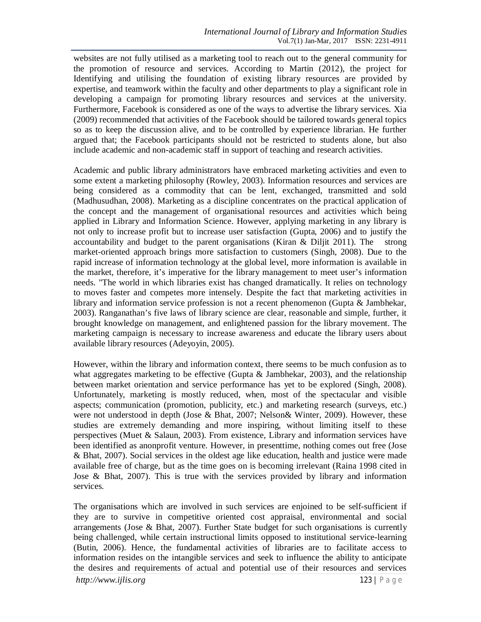websites are not fully utilised as a marketing tool to reach out to the general community for the promotion of resource and services. According to Martin (2012), the project for Identifying and utilising the foundation of existing library resources are provided by expertise, and teamwork within the faculty and other departments to play a significant role in developing a campaign for promoting library resources and services at the university. Furthermore, Facebook is considered as one of the ways to advertise the library services. Xia (2009) recommended that activities of the Facebook should be tailored towards general topics so as to keep the discussion alive, and to be controlled by experience librarian. He further argued that; the Facebook participants should not be restricted to students alone, but also include academic and non-academic staff in support of teaching and research activities.

Academic and public library administrators have embraced marketing activities and even to some extent a marketing philosophy (Rowley, 2003). Information resources and services are being considered as a commodity that can be lent, exchanged, transmitted and sold (Madhusudhan, 2008). Marketing as a discipline concentrates on the practical application of the concept and the management of organisational resources and activities which being applied in Library and Information Science. However, applying marketing in any library is not only to increase profit but to increase user satisfaction (Gupta, 2006) and to justify the accountability and budget to the parent organisations (Kiran  $&$  Diljit 2011). The strong market-oriented approach brings more satisfaction to customers (Singh, 2008). Due to the rapid increase of information technology at the global level, more information is available in the market, therefore, it's imperative for the library management to meet user's information needs. "The world in which libraries exist has changed dramatically. It relies on technology to moves faster and competes more intensely. Despite the fact that marketing activities in library and information service profession is not a recent phenomenon (Gupta & Jambhekar, 2003). Ranganathan's five laws of library science are clear, reasonable and simple, further, it brought knowledge on management, and enlightened passion for the library movement. The marketing campaign is necessary to increase awareness and educate the library users about available library resources (Adeyoyin, 2005).

However, within the library and information context, there seems to be much confusion as to what aggregates marketing to be effective (Gupta  $&$  Jambhekar, 2003), and the relationship between market orientation and service performance has yet to be explored (Singh, 2008). Unfortunately, marketing is mostly reduced, when, most of the spectacular and visible aspects; communication (promotion, publicity, etc.) and marketing research (surveys, etc.) were not understood in depth (Jose & Bhat, 2007; Nelson & Winter, 2009). However, these studies are extremely demanding and more inspiring, without limiting itself to these perspectives (Muet & Salaun, 2003). From existence, Library and information services have been identified as anonprofit venture. However, in presenttime, nothing comes out free (Jose & Bhat, 2007). Social services in the oldest age like education, health and justice were made available free of charge, but as the time goes on is becoming irrelevant (Raina 1998 cited in Jose & Bhat, 2007). This is true with the services provided by library and information services.

The organisations which are involved in such services are enjoined to be self-sufficient if they are to survive in competitive oriented cost appraisal, environmental and social arrangements (Jose & Bhat, 2007). Further State budget for such organisations is currently being challenged, while certain instructional limits opposed to institutional service-learning (Butin, 2006). Hence, the fundamental activities of libraries are to facilitate access to information resides on the intangible services and seek to influence the ability to anticipate the desires and requirements of actual and potential use of their resources and services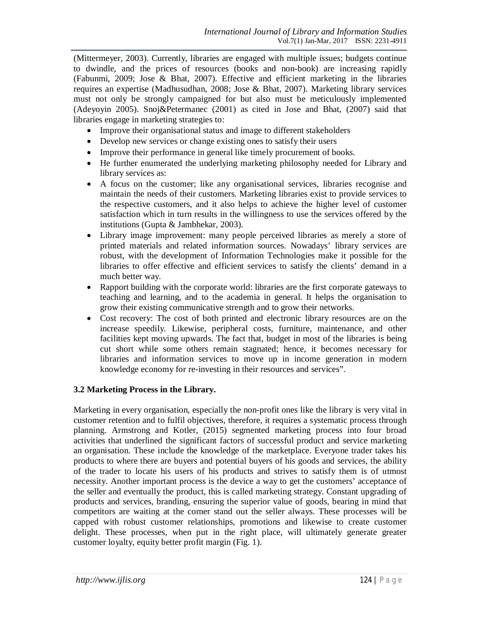(Mittermeyer, 2003). Currently, libraries are engaged with multiple issues; budgets continue to dwindle, and the prices of resources (books and non-book) are increasing rapidly (Fabunmi, 2009; Jose & Bhat, 2007). Effective and efficient marketing in the libraries requires an expertise (Madhusudhan, 2008; Jose & Bhat, 2007). Marketing library services must not only be strongly campaigned for but also must be meticulously implemented (Adeyoyin 2005). Snoj&Petermanec (2001) as cited in Jose and Bhat, (2007) said that libraries engage in marketing strategies to:

- Improve their organisational status and image to different stakeholders
- Develop new services or change existing ones to satisfy their users
- Improve their performance in general like timely procurement of books.
- He further enumerated the underlying marketing philosophy needed for Library and library services as:
- A focus on the customer; like any organisational services, libraries recognise and maintain the needs of their customers. Marketing libraries exist to provide services to the respective customers, and it also helps to achieve the higher level of customer satisfaction which in turn results in the willingness to use the services offered by the institutions (Gupta & Jambhekar, 2003).
- Library image improvement: many people perceived libraries as merely a store of printed materials and related information sources. Nowadays' library services are robust, with the development of Information Technologies make it possible for the libraries to offer effective and efficient services to satisfy the clients' demand in a much better way.
- Rapport building with the corporate world: libraries are the first corporate gateways to teaching and learning, and to the academia in general. It helps the organisation to grow their existing communicative strength and to grow their networks.
- Cost recovery: The cost of both printed and electronic library resources are on the increase speedily. Likewise, peripheral costs, furniture, maintenance, and other facilities kept moving upwards. The fact that, budget in most of the libraries is being cut short while some others remain stagnated; hence, it becomes necessary for libraries and information services to move up in income generation in modern knowledge economy for re-investing in their resources and services".

## **3.2 Marketing Process in the Library.**

Marketing in every organisation, especially the non-profit ones like the library is very vital in customer retention and to fulfil objectives, therefore, it requires a systematic process through planning. Armstrong and Kotler, (2015) segmented marketing process into four broad activities that underlined the significant factors of successful product and service marketing an organisation. These include the knowledge of the marketplace. Everyone trader takes his products to where there are buyers and potential buyers of his goods and services, the ability of the trader to locate his users of his products and strives to satisfy them is of utmost necessity. Another important process is the device a way to get the customers' acceptance of the seller and eventually the product, this is called marketing strategy. Constant upgrading of products and services, branding, ensuring the superior value of goods, bearing in mind that competitors are waiting at the corner stand out the seller always. These processes will be capped with robust customer relationships, promotions and likewise to create customer delight. These processes, when put in the right place, will ultimately generate greater customer loyalty, equity better profit margin (Fig. 1).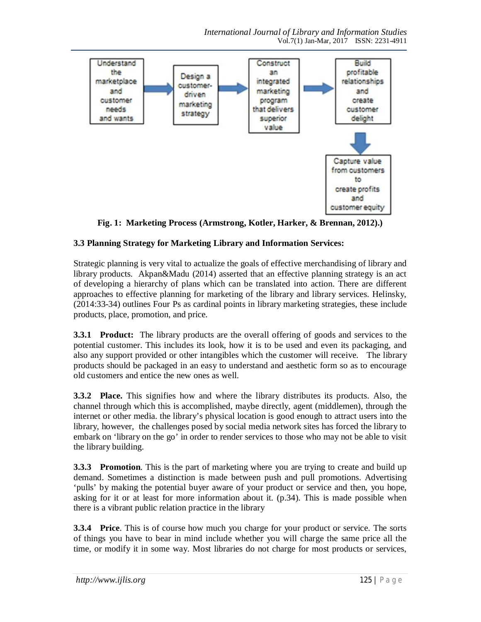

**Fig. 1: Marketing Process (Armstrong, Kotler, Harker, & Brennan, 2012).)**

# **3.3 Planning Strategy for Marketing Library and Information Services:**

Strategic planning is very vital to actualize the goals of effective merchandising of library and library products. Akpan&Madu (2014) asserted that an effective planning strategy is an act of developing a hierarchy of plans which can be translated into action. There are different approaches to effective planning for marketing of the library and library services. Helinsky, (2014:33-34) outlines Four Ps as cardinal points in library marketing strategies, these include products, place, promotion, and price.

**3.3.1 Product:** The library products are the overall offering of goods and services to the potential customer. This includes its look, how it is to be used and even its packaging, and also any support provided or other intangibles which the customer will receive. The library products should be packaged in an easy to understand and aesthetic form so as to encourage old customers and entice the new ones as well.

**3.3.2 Place.** This signifies how and where the library distributes its products. Also, the channel through which this is accomplished, maybe directly, agent (middlemen), through the internet or other media. the library's physical location is good enough to attract users into the library, however, the challenges posed by social media network sites has forced the library to embark on 'library on the go' in order to render services to those who may not be able to visit the library building.

**3.3.3 Promotion**. This is the part of marketing where you are trying to create and build up demand. Sometimes a distinction is made between push and pull promotions. Advertising 'pulls' by making the potential buyer aware of your product or service and then, you hope, asking for it or at least for more information about it. (p.34). This is made possible when there is a vibrant public relation practice in the library

**3.3.4 Price**. This is of course how much you charge for your product or service. The sorts of things you have to bear in mind include whether you will charge the same price all the time, or modify it in some way. Most libraries do not charge for most products or services,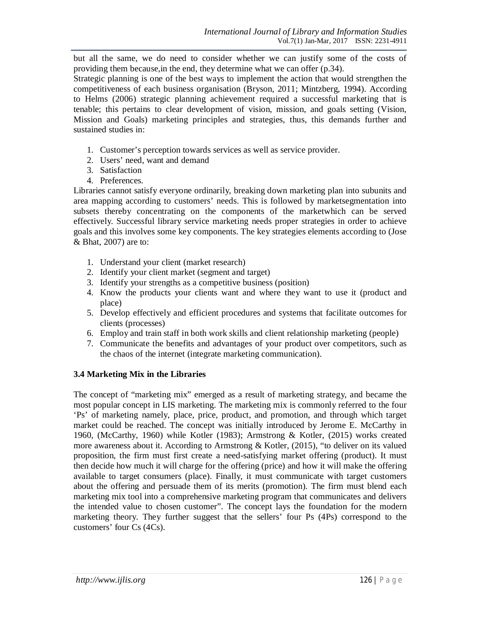but all the same, we do need to consider whether we can justify some of the costs of providing them because,in the end, they determine what we can offer (p.34).

Strategic planning is one of the best ways to implement the action that would strengthen the competitiveness of each business organisation (Bryson, 2011; Mintzberg, 1994). According to Helms (2006) strategic planning achievement required a successful marketing that is tenable; this pertains to clear development of vision, mission, and goals setting (Vision, Mission and Goals) marketing principles and strategies, thus, this demands further and sustained studies in:

- 1. Customer's perception towards services as well as service provider.
- 2. Users' need, want and demand
- 3. Satisfaction
- 4. Preferences.

Libraries cannot satisfy everyone ordinarily, breaking down marketing plan into subunits and area mapping according to customers' needs. This is followed by marketsegmentation into subsets thereby concentrating on the components of the marketwhich can be served effectively. Successful library service marketing needs proper strategies in order to achieve goals and this involves some key components. The key strategies elements according to (Jose & Bhat, 2007) are to:

- 1. Understand your client (market research)
- 2. Identify your client market (segment and target)
- 3. Identify your strengths as a competitive business (position)
- 4. Know the products your clients want and where they want to use it (product and place)
- 5. Develop effectively and efficient procedures and systems that facilitate outcomes for clients (processes)
- 6. Employ and train staff in both work skills and client relationship marketing (people)
- 7. Communicate the benefits and advantages of your product over competitors, such as the chaos of the internet (integrate marketing communication).

# **3.4 Marketing Mix in the Libraries**

The concept of "marketing mix" emerged as a result of marketing strategy, and became the most popular concept in LIS marketing. The marketing mix is commonly referred to the four 'Ps' of marketing namely, place, price, product, and promotion, and through which target market could be reached. The concept was initially introduced by Jerome E. McCarthy in 1960, (McCarthy, 1960) while Kotler (1983); Armstrong & Kotler, (2015) works created more awareness about it. According to Armstrong  $&$  Kotler, (2015), "to deliver on its valued proposition, the firm must first create a need-satisfying market offering (product). It must then decide how much it will charge for the offering (price) and how it will make the offering available to target consumers (place). Finally, it must communicate with target customers about the offering and persuade them of its merits (promotion). The firm must blend each marketing mix tool into a comprehensive marketing program that communicates and delivers the intended value to chosen customer". The concept lays the foundation for the modern marketing theory. They further suggest that the sellers' four Ps (4Ps) correspond to the customers' four Cs (4Cs).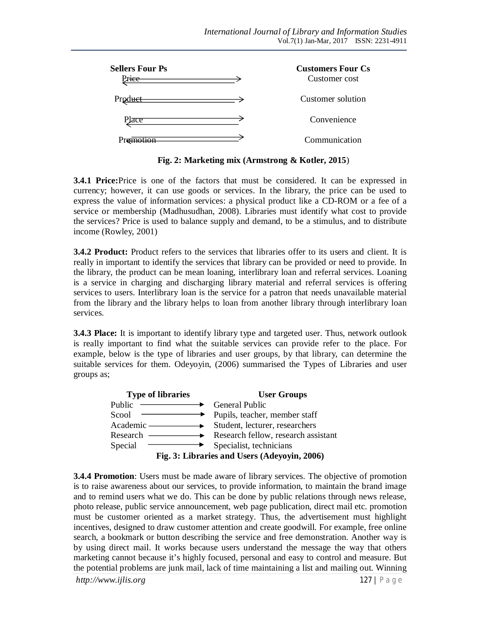| <b>Sellers Four Ps</b><br>rice | <b>Customers Four Cs</b><br>Customer cost |
|--------------------------------|-------------------------------------------|
| Product                        | Customer solution                         |
| Place                          | Convenience                               |
|                                | Communication                             |

**Fig. 2: Marketing mix (Armstrong & Kotler, 2015**)

**3.4.1 Price:**Price is one of the factors that must be considered. It can be expressed in currency; however, it can use goods or services. In the library, the price can be used to express the value of information services: a physical product like a CD-ROM or a fee of a service or membership (Madhusudhan, 2008). Libraries must identify what cost to provide the services? Price is used to balance supply and demand, to be a stimulus, and to distribute income (Rowley, 2001)

**3.4.2 Product:** Product refers to the services that libraries offer to its users and client. It is really in important to identify the services that library can be provided or need to provide. In the library, the product can be mean loaning, interlibrary loan and referral services. Loaning is a service in charging and discharging library material and referral services is offering services to users. Interlibrary loan is the service for a patron that needs unavailable material from the library and the library helps to loan from another library through interlibrary loan services.

**3.4.3 Place:** It is important to identify library type and targeted user. Thus, network outlook is really important to find what the suitable services can provide refer to the place. For example, below is the type of libraries and user groups, by that library, can determine the suitable services for them. Odeyoyin, (2006) summarised the Types of Libraries and user groups as;



**3.4.4 Promotion**: Users must be made aware of library services. The objective of promotion is to raise awareness about our services, to provide information, to maintain the brand image and to remind users what we do. This can be done by public relations through news release, photo release, public service announcement, web page publication, direct mail etc. promotion must be customer oriented as a market strategy. Thus, the advertisement must highlight incentives, designed to draw customer attention and create goodwill. For example, free online search, a bookmark or button describing the service and free demonstration. Another way is by using direct mail. It works because users understand the message the way that others marketing cannot because it's highly focused, personal and easy to control and measure. But the potential problems are junk mail, lack of time maintaining a list and mailing out. Winning

*http://www.ijlis.org* 127 | P a g e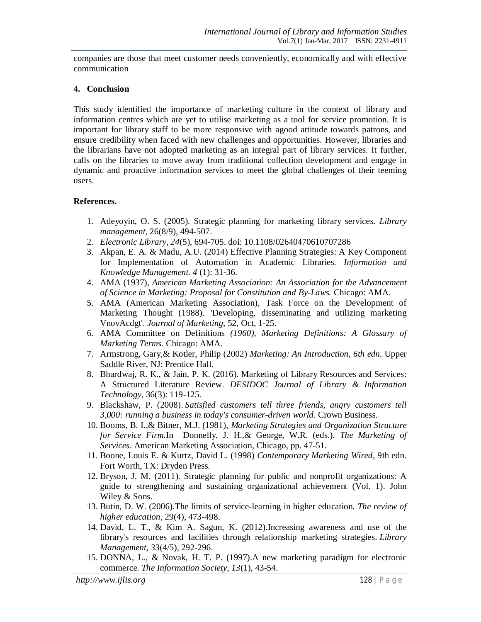companies are those that meet customer needs conveniently, economically and with effective communication

### **4. Conclusion**

This study identified the importance of marketing culture in the context of library and information centres which are yet to utilise marketing as a tool for service promotion. It is important for library staff to be more responsive with agood attitude towards patrons, and ensure credibility when faced with new challenges and opportunities. However, libraries and the librarians have not adopted marketing as an integral part of library services. It further, calls on the libraries to move away from traditional collection development and engage in dynamic and proactive information services to meet the global challenges of their teeming users.

### **References.**

- 1. Adeyoyin, O. S. (2005). Strategic planning for marketing library services. *Library management,* 26(8/9), 494-507.
- 2. *Electronic Library, 24*(5), 694-705. doi: 10.1108/02640470610707286
- 3. Akpan, E. A. & Madu, A.U. (2014) Effective Planning Strategies: A Key Component for Implementation of Automation in Academic Libraries*. Information and Knowledge Management. 4* (1): 31-36.
- 4. AMA (1937), *American Marketing Association: An Association for the Advancement of Science in Marketing: Proposal for Constitution and By-Laws.* Chicago: AMA.
- 5. AMA (American Marketing Association), Task Force on the Development of Marketing Thought (1988). 'Developing, disseminating and utilizing marketing VnovAcdgt'. *Journal of Marketing,* 52, Oct, 1-25.
- 6. AMA Committee on Definitions *(1960), Marketing Definitions: A Glossary of Marketing Terms.* Chicago: AMA.
- 7. Armstrong, Gary,& Kotler, Philip (2002) *Marketing: An Introduction, 6th edn*. Upper Saddle River, NJ: Prentice Hall.
- 8. Bhardwaj, R. K., & Jain, P. K. (2016). Marketing of Library Resources and Services: A Structured Literature Review. *DESIDOC Journal of Library & Information Technology*, 36(3): 119-125.
- 9. Blackshaw, P. (2008). *Satisfied customers tell three friends, angry customers tell 3,000: running a business in today's consumer-driven world*. Crown Business.
- 10. Booms, B. I.,& Bitner, M.J. (1981), *Marketing Strategies and Organization Structure for Service Firm.*In Donnelly, J. H.,& George, W.R. (eds.). *The Marketing of Services.* American Marketing Association, Chicago, pp. 47-51.
- 11. Boone, Louis E. & Kurtz, David L. (1998) *Contemporary Marketing Wired*, 9th edn. Fort Worth, TX: Dryden Press.
- 12. Bryson, J. M. (2011). Strategic planning for public and nonprofit organizations: A guide to strengthening and sustaining organizational achievement (Vol. 1). John Wiley & Sons.
- 13. Butin, D. W. (2006).The limits of service-learning in higher education*. The review of higher education,* 29(4), 473-498.
- 14. David, L. T., & Kim A. Sagun, K. (2012).Increasing awareness and use of the library's resources and facilities through relationship marketing strategies. *Library Management*, *33*(4/5), 292-296.
- 15. DONNA, L., & Novak, H. T. P. (1997).A new marketing paradigm for electronic commerce. *The Information Society*, *13*(1), 43-54.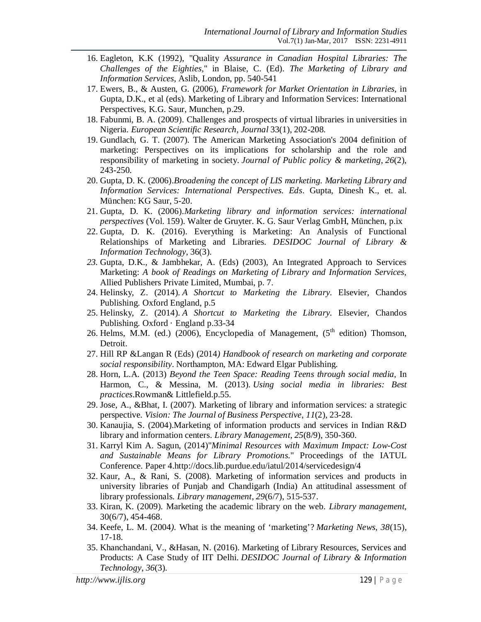- 16. Eagleton, K.K (1992), "Quality *Assurance in Canadian Hospital Libraries: The Challenges of the Eighties,*" in Blaise, C. (Ed). *The Marketing of Library and Information Services*, Aslib, London, pp. 540-541
- 17. Ewers, B., & Austen, G. (2006), *Framework for Market Orientation in Libraries*, in Gupta, D.K., et al (eds). Marketing of Library and Information Services: International Perspectives, K.G. Saur, Munchen, p.29.
- 18. Fabunmi, B. A. (2009). Challenges and prospects of virtual libraries in universities in Nigeria. *European Scientific Research, Journal* 33(1), 202-208.
- 19. Gundlach, G. T. (2007). The American Marketing Association's 2004 definition of marketing: Perspectives on its implications for scholarship and the role and responsibility of marketing in society. *Journal of Public policy & marketing*, *26*(2), 243-250.
- 20. Gupta, D. K. (2006).*Broadening the concept of LIS marketing. Marketing Library and Information Services: International Perspectives. Eds*. Gupta, Dinesh K., et. al. München: KG Saur, 5-20.
- 21. Gupta, D. K. (2006).*Marketing library and information services: international perspectives* (Vol. 159). Walter de Gruyter. K. G. Saur Verlag GmbH, München, p.ix
- 22. Gupta, D. K. (2016). Everything is Marketing: An Analysis of Functional Relationships of Marketing and Libraries. *DESIDOC Journal of Library & Information Technology*, 36(3).
- *23.* Gupta, D.K., & Jambhekar, A. (Eds) (2003), An Integrated Approach to Services Marketing: *A book of Readings on Marketing of Library and Information Services,*  Allied Publishers Private Limited, Mumbai, p. 7.
- 24. Helinsky, Z. (2014). *A Shortcut to Marketing the Library*. Elsevier, Chandos Publishing. Oxford England, p.5
- 25. Helinsky, Z. (2014). *A Shortcut to Marketing the Library*. Elsevier, Chandos Publishing. Oxford · England p.33-34
- 26. Helms, M.M. (ed.) (2006), Encyclopedia of Management,  $(5<sup>th</sup>$  edition) Thomson, Detroit.
- 27. Hill RP &Langan R (Eds) (2014*) Handbook of research on marketing and corporate social responsibility*. Northampton, MA: Edward Elgar Publishing.
- 28. Horn, L.A. (2013) *Beyond the Teen Space: Reading Teens through social media*, In Harmon, C., & Messina, M. (2013). *Using social media in libraries: Best practices*.Rowman& Littlefield.p.55.
- 29. Jose, A., &Bhat, I. (2007). Marketing of library and information services: a strategic perspective. *Vision: The Journal of Business Perspective*, *11*(2), 23-28.
- 30. Kanaujia, S. (2004).Marketing of information products and services in Indian R&D library and information centers. *Library Management*, *25*(8/9), 350-360.
- 31. Karryl Kim A. Sagun, (2014)"*Minimal Resources with Maximum Impact: Low-Cost and Sustainable Means for Library Promotions*." Proceedings of the IATUL Conference. Paper 4.http://docs.lib.purdue.edu/iatul/2014/servicedesign/4
- 32. Kaur, A., & Rani, S. (2008). Marketing of information services and products in university libraries of Punjab and Chandigarh (India) An attitudinal assessment of library professionals. *Library management*, *29*(6/7), 515-537.
- 33. Kiran, K. (2009). Marketing the academic library on the web. *Library management*, 30(6/7), 454-468.
- 34. Keefe, L. M. (2004*).* What is the meaning of 'marketing'? *Marketing News*, *38*(15), 17-18.
- 35. Khanchandani, V., &Hasan, N. (2016). Marketing of Library Resources, Services and Products: A Case Study of IIT Delhi. *DESIDOC Journal of Library & Information Technology*, *36*(3).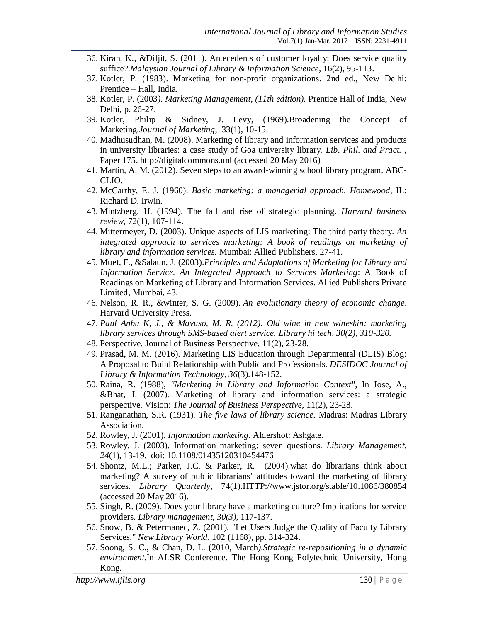- 36. Kiran, K., &Diljit, S. (2011). Antecedents of customer loyalty: Does service quality suffice?.*Malaysian Journal of Library & Information Science*, 16(2), 95-113.
- 37. Kotler, P. (1983). Marketing for non-profit organizations. 2nd ed., New Delhi: Prentice – Hall, India.
- 38. Kotler, P. (2003*). Marketing Management, (11th edition).* Prentice Hall of India, New Delhi, p. 26-27.
- 39. Kotler, Philip & Sidney, J. Levy, (1969).Broadening the Concept of Marketing.*Journal of Marketing,* 33(1), 10-15.
- 40. Madhusudhan, M. (2008). Marketing of library and information services and products in university libraries: a case study of Goa university library*. Lib. Phil. and Pract.* , Paper 175. http://digitalcommons.unl (accessed 20 May 2016)
- 41. Martin, A. M. (2012). Seven steps to an award-winning school library program. ABC-CLIO.
- 42. McCarthy, E. J. (1960). *Basic marketing: a managerial approach. Homewood,* IL: Richard D. Irwin.
- 43. Mintzberg, H. (1994). The fall and rise of strategic planning. *Harvard business review*, 72(1), 107-114.
- 44. Mittermeyer, D. (2003). Unique aspects of LIS marketing: The third party theory. *An integrated approach to services marketing: A book of readings on marketing of library and information services.* Mumbai: Allied Publishers, 27-41.
- 45. Muet, F., &Salaun, J. (2003).*Principles and Adaptations of Marketing for Library and Information Service. An Integrated Approach to Services Marketing*: A Book of Readings on Marketing of Library and Information Services. Allied Publishers Private Limited, Mumbai, 43.
- 46. Nelson, R. R., &winter, S. G. (2009). *An evolutionary theory of economic change*. Harvard University Press.
- 47. *Paul Anbu K, J., & Mavuso, M. R. (2012). Old wine in new wineskin: marketing library services through SMS-based alert service. Library hi tech, 30(2), 310-320.*
- 48. Perspective. Journal of Business Perspective, 11(2), 23-28.
- 49. Prasad, M. M. (2016). Marketing LIS Education through Departmental (DLIS) Blog: A Proposal to Build Relationship with Public and Professionals. *DESIDOC Journal of Library & Information Technology*, *36*(3).148-152.
- 50. Raina, R. (1988), *"Marketing in Library and Information Context"*, In Jose, A., &Bhat, I. (2007). Marketing of library and information services: a strategic perspective. Vision: *The Journal of Business Perspective,* 11(2), 23-28.
- 51. Ranganathan, S.R. (1931)*. The five laws of library science.* Madras: Madras Library Association.
- 52. Rowley, J. (2001). *Information marketing*. Aldershot: Ashgate.
- 53. Rowley, J. (2003). Information marketing: seven questions. *Library Management, 24*(1), 13-19. doi: 10.1108/01435120310454476
- 54. Shontz, M.L.; Parker, J.C. & Parker, R. (2004).what do librarians think about marketing? A survey of public librarians' attitudes toward the marketing of library services. *Library Quarterly*, 74(1).HTTP://www.jstor.org/stable/10.1086/380854 (accessed 20 May 2016).
- 55. Singh, R. (2009). Does your library have a marketing culture? Implications for service providers. *Library management, 30(3)*, 117-137.
- 56. Snow, B. & Petermanec, Z. (2001), "Let Users Judge the Quality of Faculty Library Services," *New Library World*, 102 (1168), pp. 314-324.
- 57. Soong, S. C., & Chan, D. L. (2010, March*).Strategic re-repositioning in a dynamic environment*.In ALSR Conference. The Hong Kong Polytechnic University, Hong Kong.